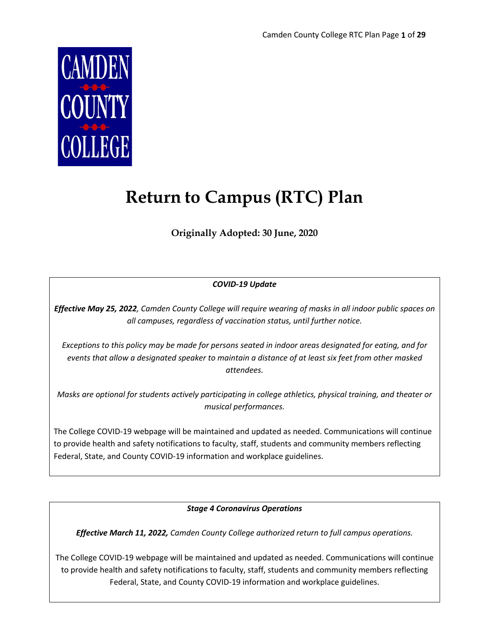

# **Return to Campus (RTC) Plan**

**Originally Adopted: 30 June, 2020**

### *COVID-19 Update*

*Effective May 25, 2022, Camden County College will require wearing of masks in all indoor public spaces on all campuses, regardless of vaccination status, until further notice.*

*Exceptions to this policy may be made for persons seated in indoor areas designated for eating, and for events that allow a designated speaker to maintain a distance of at least six feet from other masked attendees.*

*Masks are optional for students actively participating in college athletics, physical training, and theater or musical performances.*

The College COVID-19 webpage will be maintained and updated as needed. Communications will continue to provide health and safety notifications to faculty, staff, students and community members reflecting Federal, State, and County COVID-19 information and workplace guidelines.

*Stage 4 Coronavirus Operations*

*Effective March 11, 2022, Camden County College authorized return to full campus operations.*

The College COVID-19 webpage will be maintained and updated as needed. Communications will continue to provide health and safety notifications to faculty, staff, students and community members reflecting Federal, State, and County COVID-19 information and workplace guidelines.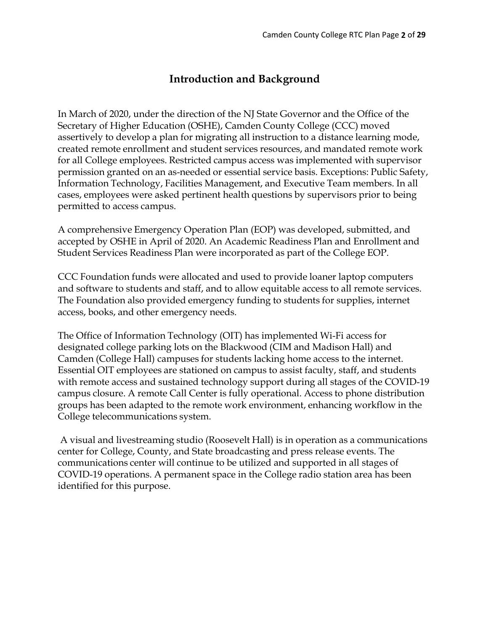# **Introduction and Background**

In March of 2020, under the direction of the NJ State Governor and the Office of the Secretary of Higher Education (OSHE), Camden County College (CCC) moved assertively to develop a plan for migrating all instruction to a distance learning mode, created remote enrollment and student services resources, and mandated remote work for all College employees. Restricted campus access was implemented with supervisor permission granted on an as-needed or essential service basis. Exceptions: Public Safety, Information Technology, Facilities Management, and Executive Team members. In all cases, employees were asked pertinent health questions by supervisors prior to being permitted to access campus.

A comprehensive Emergency Operation Plan (EOP) was developed, submitted, and accepted by OSHE in April of 2020. An Academic Readiness Plan and Enrollment and Student Services Readiness Plan were incorporated as part of the College EOP.

CCC Foundation funds were allocated and used to provide loaner laptop computers and software to students and staff, and to allow equitable access to all remote services. The Foundation also provided emergency funding to students for supplies, internet access, books, and other emergency needs.

The Office of Information Technology (OIT) has implemented Wi-Fi access for designated college parking lots on the Blackwood (CIM and Madison Hall) and Camden (College Hall) campuses for students lacking home access to the internet. Essential OIT employees are stationed on campus to assist faculty, staff, and students with remote access and sustained technology support during all stages of the COVID-19 campus closure. A remote Call Center is fully operational. Access to phone distribution groups has been adapted to the remote work environment, enhancing workflow in the College telecommunications system.

A visual and livestreaming studio (Roosevelt Hall) is in operation as a communications center for College, County, and State broadcasting and press release events. The communications center will continue to be utilized and supported in all stages of COVID-19 operations. A permanent space in the College radio station area has been identified for this purpose.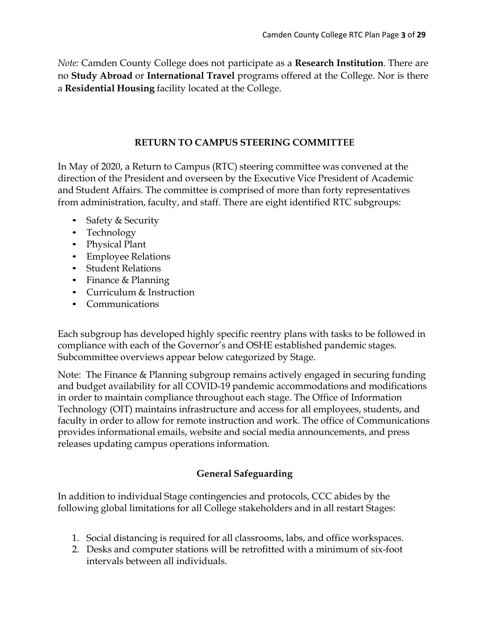*Note:* Camden County College does not participate as a **Research Institution**. There are no **Study Abroad** or **International Travel** programs offered at the College. Nor is there a **Residential Housing** facility located at the College.

### **RETURN TO CAMPUS STEERING COMMITTEE**

In May of 2020, a Return to Campus (RTC) steering committee was convened at the direction of the President and overseen by the Executive Vice President of Academic and Student Affairs. The committee is comprised of more than forty representatives from administration, faculty, and staff. There are eight identified RTC subgroups:

- Safety & Security
- Technology
- Physical Plant
- Employee Relations
- Student Relations
- Finance & Planning
- Curriculum & Instruction
- Communications

Each subgroup has developed highly specific reentry plans with tasks to be followed in compliance with each of the Governor's and OSHE established pandemic stages. Subcommittee overviews appear below categorized by Stage.

Note: The Finance & Planning subgroup remains actively engaged in securing funding and budget availability for all COVID-19 pandemic accommodations and modifications in order to maintain compliance throughout each stage. The Office of Information Technology (OIT) maintains infrastructure and access for all employees, students, and faculty in order to allow for remote instruction and work. The office of Communications provides informational emails, website and social media announcements, and press releases updating campus operations information.

# **General Safeguarding**

In addition to individual Stage contingencies and protocols, CCC abides by the following global limitations for all College stakeholders and in all restart Stages:

- 1. Social distancing is required for all classrooms, labs, and office workspaces.
- 2. Desks and computer stations will be retrofitted with a minimum of six-foot intervals between all individuals.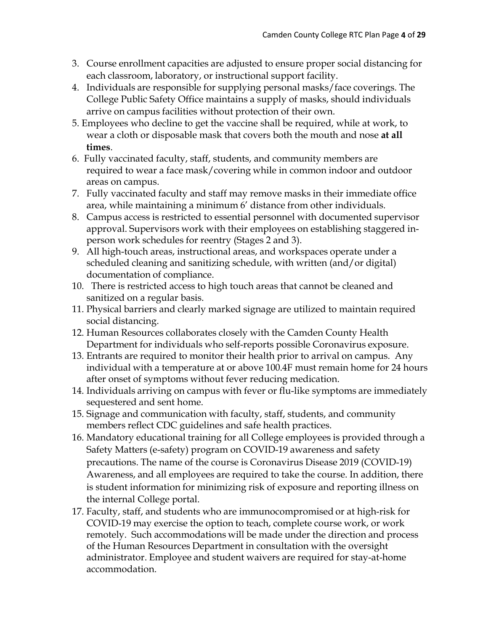- 3. Course enrollment capacities are adjusted to ensure proper social distancing for each classroom, laboratory, or instructional support facility.
- 4. Individuals are responsible for supplying personal masks/face coverings. The College Public Safety Office maintains a supply of masks, should individuals arrive on campus facilities without protection of their own.
- 5. Employees who decline to get the vaccine shall be required, while at work, to wear a cloth or disposable mask that covers both the mouth and nose **at all times**.
- 6. Fully vaccinated faculty, staff, students, and community members are required to wear a face mask/covering while in common indoor and outdoor areas on campus.
- 7. Fully vaccinated faculty and staff may remove masks in their immediate office area, while maintaining a minimum 6' distance from other individuals.
- 8. Campus access is restricted to essential personnel with documented supervisor approval. Supervisors work with their employees on establishing staggered inperson work schedules for reentry (Stages 2 and 3).
- 9. All high-touch areas, instructional areas, and workspaces operate under a scheduled cleaning and sanitizing schedule, with written (and/or digital) documentation of compliance.
- 10. There is restricted access to high touch areas that cannot be cleaned and sanitized on a regular basis.
- 11. Physical barriers and clearly marked signage are utilized to maintain required social distancing.
- 12. Human Resources collaborates closely with the Camden County Health Department for individuals who self-reports possible Coronavirus exposure.
- 13. Entrants are required to monitor their health prior to arrival on campus. Any individual with a temperature at or above 100.4F must remain home for 24 hours after onset of symptoms without fever reducing medication.
- 14. Individuals arriving on campus with fever or flu-like symptoms are immediately sequestered and sent home.
- 15. Signage and communication with faculty, staff, students, and community members reflect CDC guidelines and safe health practices.
- 16. Mandatory educational training for all College employees is provided through a Safety Matters (e-safety) program on COVID-19 awareness and safety precautions. The name of the course is Coronavirus Disease 2019 (COVID-19) Awareness, and all employees are required to take the course. In addition, there is student information for minimizing risk of exposure and reporting illness on the internal College portal.
- 17. Faculty, staff, and students who are immunocompromised or at high-risk for COVID-19 may exercise the option to teach, complete course work, or work remotely. Such accommodations will be made under the direction and process of the Human Resources Department in consultation with the oversight administrator. Employee and student waivers are required for stay-at-home accommodation.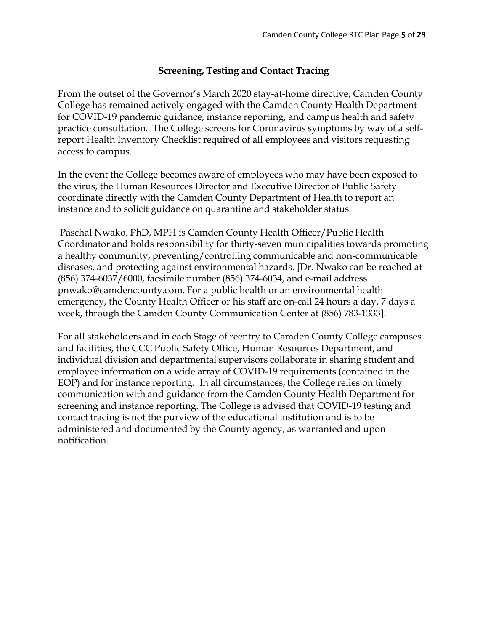### **Screening, Testing and Contact Tracing**

From the outset of the Governor's March 2020 stay-at-home directive, Camden County College has remained actively engaged with the Camden County Health Department for COVID-19 pandemic guidance, instance reporting, and campus health and safety practice consultation. The College screens for Coronavirus symptoms by way of a selfreport Health Inventory Checklist required of all employees and visitors requesting access to campus.

In the event the College becomes aware of employees who may have been exposed to the virus, the Human Resources Director and Executive Director of Public Safety coordinate directly with the Camden County Department of Health to report an instance and to solicit guidance on quarantine and stakeholder status.

Paschal Nwako, PhD, MPH is Camden County Health Officer/Public Health Coordinator and holds responsibility for thirty-seven municipalities towards promoting a healthy community, preventing/controlling communicable and non-communicable diseases, and protecting against environmental hazards. [Dr. Nwako can be reached at (856) 374-6037/6000, facsimile number (856) 374-6034, and e-mail address pnwako@camdencounty.com. For a public health or an environmental health emergency, the County Health Officer or his staff are on-call 24 hours a day, 7 days a week, through the Camden County Communication Center at (856) 783-1333].

For all stakeholders and in each Stage of reentry to Camden County College campuses and facilities, the CCC Public Safety Office, Human Resources Department, and individual division and departmental supervisors collaborate in sharing student and employee information on a wide array of COVID-19 requirements (contained in the EOP) and for instance reporting. In all circumstances, the College relies on timely communication with and guidance from the Camden County Health Department for screening and instance reporting. The College is advised that COVID-19 testing and contact tracing is not the purview of the educational institution and is to be administered and documented by the County agency, as warranted and upon notification.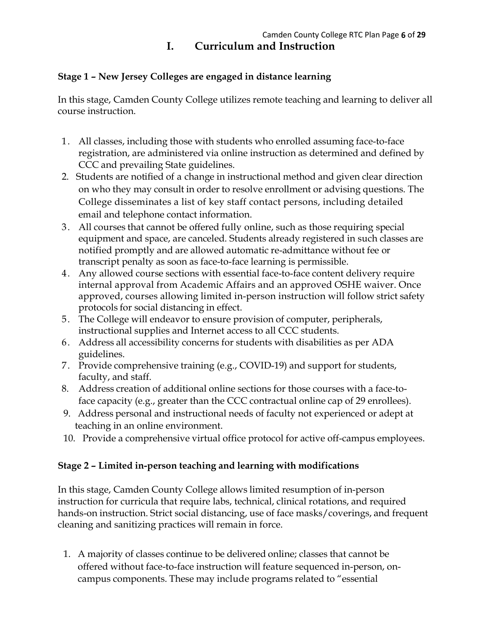# **I. Curriculum and Instruction**

# **Stage 1 – New Jersey Colleges are engaged in distance learning**

In this stage, Camden County College utilizes remote teaching and learning to deliver all course instruction.

- 1. All classes, including those with students who enrolled assuming face-to-face registration, are administered via online instruction as determined and defined by CCC and prevailing State guidelines.
- 2. Students are notified of a change in instructional method and given clear direction on who they may consult in order to resolve enrollment or advising questions. The College disseminates a list of key staff contact persons, including detailed email and telephone contact information.
- 3. All courses that cannot be offered fully online, such as those requiring special equipment and space, are canceled. Students already registered in such classes are notified promptly and are allowed automatic re-admittance without fee or transcript penalty as soon as face-to-face learning is permissible.
- 4. Any allowed course sections with essential face-to-face content delivery require internal approval from Academic Affairs and an approved OSHE waiver. Once approved, courses allowing limited in-person instruction will follow strict safety protocols for social distancing in effect.
- 5. The College will endeavor to ensure provision of computer, peripherals, instructional supplies and Internet access to all CCC students.
- 6. Address all accessibility concerns for students with disabilities as per ADA guidelines.
- 7. Provide comprehensive training (e.g., COVID-19) and support for students, faculty, and staff.
- 8. Address creation of additional online sections for those courses with a face-toface capacity (e.g., greater than the CCC contractual online cap of 29 enrollees).
- 9. Address personal and instructional needs of faculty not experienced or adept at teaching in an online environment.
- 10. Provide a comprehensive virtual office protocol for active off-campus employees.

# **Stage 2 – Limited in-person teaching and learning with modifications**

In this stage, Camden County College allows limited resumption of in-person instruction for curricula that require labs, technical, clinical rotations, and required hands-on instruction. Strict social distancing, use of face masks/coverings, and frequent cleaning and sanitizing practices will remain in force.

1. A majority of classes continue to be delivered online; classes that cannot be offered without face-to-face instruction will feature sequenced in-person, oncampus components. These may include programs related to "essential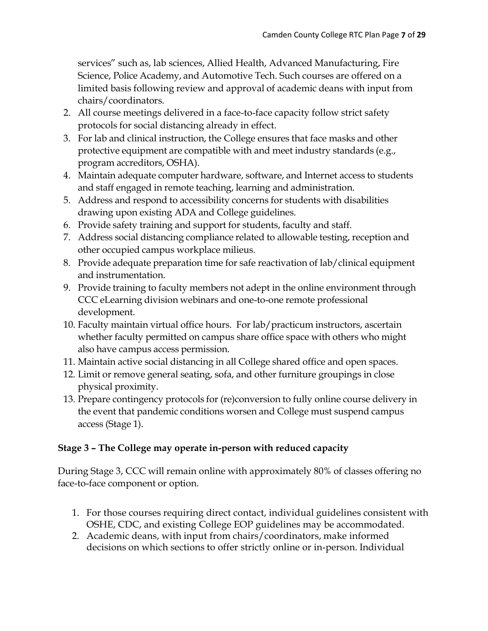services" such as, lab sciences, Allied Health, Advanced Manufacturing, Fire Science, Police Academy, and Automotive Tech. Such courses are offered on a limited basis following review and approval of academic deans with input from chairs/coordinators.

- 2. All course meetings delivered in a face-to-face capacity follow strict safety protocols for social distancing already in effect.
- 3. For lab and clinical instruction, the College ensures that face masks and other protective equipment are compatible with and meet industry standards (e.g., program accreditors, OSHA).
- 4. Maintain adequate computer hardware, software, and Internet access to students and staff engaged in remote teaching, learning and administration.
- 5. Address and respond to accessibility concerns for students with disabilities drawing upon existing ADA and College guidelines.
- 6. Provide safety training and support for students, faculty and staff.
- 7. Address social distancing compliance related to allowable testing, reception and other occupied campus workplace milieus.
- 8. Provide adequate preparation time for safe reactivation of lab/clinical equipment and instrumentation.
- 9. Provide training to faculty members not adept in the online environment through CCC eLearning division webinars and one-to-one remote professional development.
- 10. Faculty maintain virtual office hours. For lab/practicum instructors, ascertain whether faculty permitted on campus share office space with others who might also have campus access permission.
- 11. Maintain active social distancing in all College shared office and open spaces.
- 12. Limit or remove general seating, sofa, and other furniture groupings in close physical proximity.
- 13. Prepare contingency protocols for (re)conversion to fully online course delivery in the event that pandemic conditions worsen and College must suspend campus access (Stage 1).

# **Stage 3 – The College may operate in-person with reduced capacity**

During Stage 3, CCC will remain online with approximately 80% of classes offering no face-to-face component or option.

- 1. For those courses requiring direct contact, individual guidelines consistent with OSHE, CDC, and existing College EOP guidelines may be accommodated.
- 2. Academic deans, with input from chairs/coordinators, make informed decisions on which sections to offer strictly online or in-person. Individual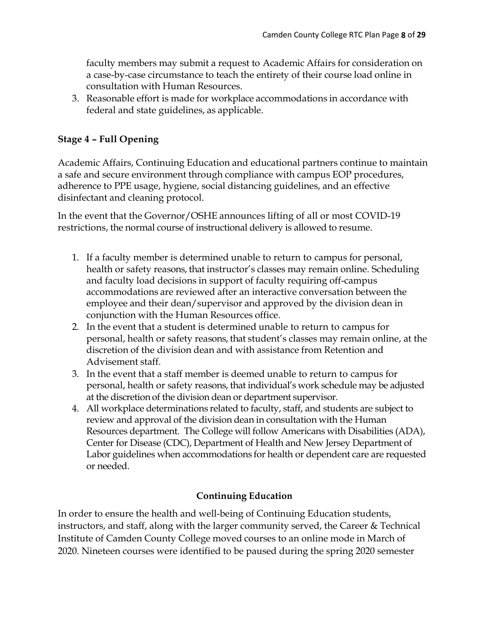faculty members may submit a request to Academic Affairs for consideration on a case-by-case circumstance to teach the entirety of their course load online in consultation with Human Resources.

3. Reasonable effort is made for workplace accommodations in accordance with federal and state guidelines, as applicable.

# **Stage 4 – Full Opening**

Academic Affairs, Continuing Education and educational partners continue to maintain a safe and secure environment through compliance with campus EOP procedures, adherence to PPE usage, hygiene, social distancing guidelines, and an effective disinfectant and cleaning protocol.

In the event that the Governor/OSHE announces lifting of all or most COVID-19 restrictions, the normal course of instructional delivery is allowed to resume.

- 1. If a faculty member is determined unable to return to campus for personal, health or safety reasons, that instructor's classes may remain online. Scheduling and faculty load decisions in support of faculty requiring off-campus accommodations are reviewed after an interactive conversation between the employee and their dean/supervisor and approved by the division dean in conjunction with the Human Resources office.
- 2. In the event that a student is determined unable to return to campus for personal, health or safety reasons, that student's classes may remain online, at the discretion of the division dean and with assistance from Retention and Advisement staff.
- 3. In the event that a staff member is deemed unable to return to campus for personal, health or safety reasons, that individual's work schedule may be adjusted at the discretion of the division dean or department supervisor.
- 4. All workplace determinations related to faculty, staff, and students are subject to review and approval of the division dean in consultation with the Human Resources department. The College will follow Americans with Disabilities (ADA), Center for Disease (CDC), Department of Health and New Jersey Department of Labor guidelines when accommodations for health or dependent care are requested or needed.

# **Continuing Education**

In order to ensure the health and well-being of Continuing Education students, instructors, and staff, along with the larger community served, the Career & Technical Institute of Camden County College moved courses to an online mode in March of 2020. Nineteen courses were identified to be paused during the spring 2020 semester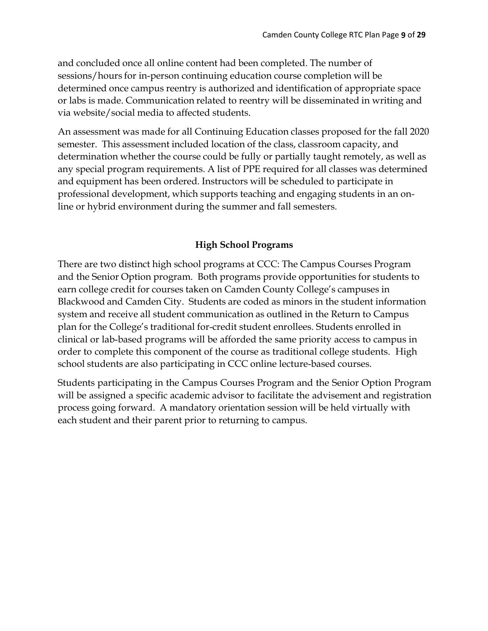and concluded once all online content had been completed. The number of sessions/hours for in-person continuing education course completion will be determined once campus reentry is authorized and identification of appropriate space or labs is made. Communication related to reentry will be disseminated in writing and via website/social media to affected students.

An assessment was made for all Continuing Education classes proposed for the fall 2020 semester. This assessment included location of the class, classroom capacity, and determination whether the course could be fully or partially taught remotely, as well as any special program requirements. A list of PPE required for all classes was determined and equipment has been ordered. Instructors will be scheduled to participate in professional development, which supports teaching and engaging students in an online or hybrid environment during the summer and fall semesters.

### **High School Programs**

There are two distinct high school programs at CCC: The Campus Courses Program and the Senior Option program. Both programs provide opportunities for students to earn college credit for courses taken on Camden County College's campuses in Blackwood and Camden City. Students are coded as minors in the student information system and receive all student communication as outlined in the Return to Campus plan for the College's traditional for-credit student enrollees. Students enrolled in clinical or lab-based programs will be afforded the same priority access to campus in order to complete this component of the course as traditional college students. High school students are also participating in CCC online lecture-based courses.

Students participating in the Campus Courses Program and the Senior Option Program will be assigned a specific academic advisor to facilitate the advisement and registration process going forward. A mandatory orientation session will be held virtually with each student and their parent prior to returning to campus.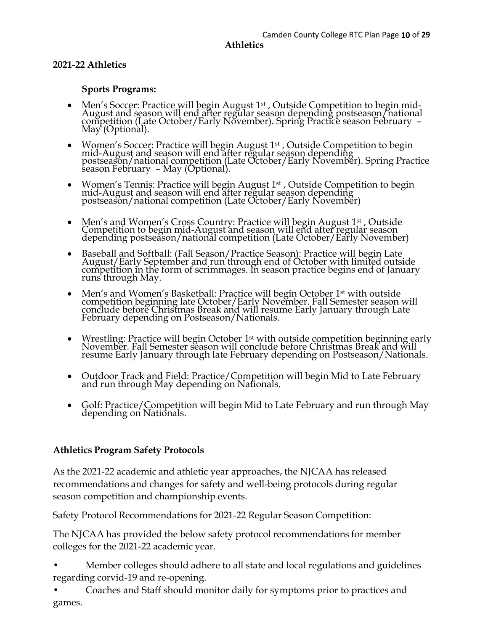# **2021-22 Athletics**

# **Sports Programs:**

- Men's Soccer: Practice will begin August 1<sup>st</sup>, Outside Competition to begin mid-<br>August and season will end after regular season depending postseason/national competition (Late October/Early November). Spring Practice season February –<br>May (Optional).
- Women's Soccer: Practice will begin August 1<sup>st</sup> , Outside Competition to begin mid-August and season will end after regular season depending postseason/national competition (Late October/Early November). Spring Practice season February – May (Optional).
- Women's Tennis: Practice will begin August 1<sup>st</sup> , Outside Competition to begin mid-August and season will end after regular season depending<br>postseason/national competition (Late October/Early November)
- Men's and Women's Cross Country: Practice will begin August 1<sup>st</sup>, Outside Competition to begin mid-August and season will end after regular season depending postseason/national competition (Late October/Early November)
- Baseball and Softball: (Fall Season/Practice Season): Practice will begin Late August/Early September and run through end of October with limited outside competition in the form of scrimmages. In season practice begins end of January runs through May.
- Men's and Women's Basketball: Practice will begin October 1<sup>st</sup> with outside competition beginning late October/Early November. Fall Semester season will conclude before Christmas Break and will resume Early January through Late February depending on Postseason/Nationals.
- Wrestling: Practice will begin October 1<sup>st</sup> with outside competition beginning early November. Fall Semester season will conclude before Christmas Break and will resume Early January through late February depending on Postseason/Nationals.
- Outdoor Track and Field: Practice/Competition will begin Mid to Late February and run through May depending on Nationals.
- Golf: Practice/Competition will begin Mid to Late February and run through May depending on Nationals.

### **Athletics Program Safety Protocols**

As the 2021-22 academic and athletic year approaches, the NJCAA has released recommendations and changes for safety and well-being protocols during regular season competition and championship events.

Safety Protocol Recommendations for 2021-22 Regular Season Competition:

The NJCAA has provided the below safety protocol recommendations for member colleges for the 2021-22 academic year.

- Member colleges should adhere to all state and local regulations and guidelines regarding corvid-19 and re-opening.
- Coaches and Staff should monitor daily for symptoms prior to practices and games.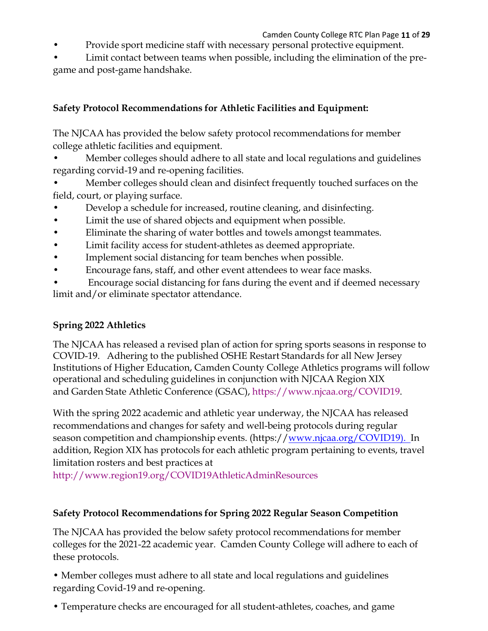### Camden County College RTC Plan Page **11** of **29**

- Provide sport medicine staff with necessary personal protective equipment.
- Limit contact between teams when possible, including the elimination of the pregame and post-game handshake.

# **Safety Protocol Recommendations for Athletic Facilities and Equipment:**

The NJCAA has provided the below safety protocol recommendations for member college athletic facilities and equipment.

• Member colleges should adhere to all state and local regulations and guidelines regarding corvid-19 and re-opening facilities.

• Member colleges should clean and disinfect frequently touched surfaces on the field, court, or playing surface.

- Develop a schedule for increased, routine cleaning, and disinfecting.
- Limit the use of shared objects and equipment when possible.
- Eliminate the sharing of water bottles and towels amongst teammates.
- Limit facility access for student-athletes as deemed appropriate.
- Implement social distancing for team benches when possible.
- Encourage fans, staff, and other event attendees to wear face masks.

• Encourage social distancing for fans during the event and if deemed necessary limit and/or eliminate spectator attendance.

# **Spring 2022 Athletics**

The NJCAA has released a revised plan of action for spring sports seasons in response to COVID-19. Adhering to the published OSHE Restart Standards for all New Jersey Institutions of Higher Education, Camden County College Athletics programs will follow operational and scheduling guidelines in conjunction with NJCAA Region XIX and Garden State Athletic Conference (GSAC), https://www.njcaa.org/COVID19.

With the spring 2022 academic and athletic year underway, the NJCAA has released recommendations and changes for safety and well-being protocols during regular season competition and championship events. (https://www.njcaa.org/COVID19). In addition, Region XIX has protocols for each athletic program pertaining to events, travel limitation rosters and best practices at

http://www.region19.org/COVID19AthleticAdminResources

# **Safety Protocol Recommendations for Spring 2022 Regular Season Competition**

The NJCAA has provided the below safety protocol recommendations for member colleges for the 2021-22 academic year. Camden County College will adhere to each of these protocols.

• Member colleges must adhere to all state and local regulations and guidelines regarding Covid-19 and re-opening.

• Temperature checks are encouraged for all student-athletes, coaches, and game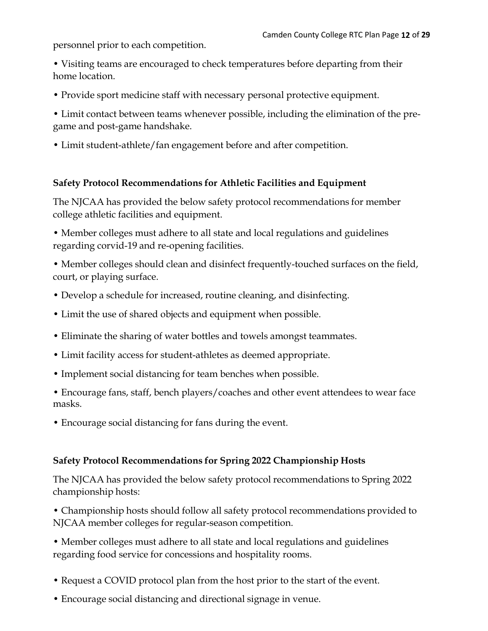personnel prior to each competition.

• Visiting teams are encouraged to check temperatures before departing from their home location.

• Provide sport medicine staff with necessary personal protective equipment.

• Limit contact between teams whenever possible, including the elimination of the pregame and post-game handshake.

• Limit student-athlete/fan engagement before and after competition.

### **Safety Protocol Recommendations for Athletic Facilities and Equipment**

The NJCAA has provided the below safety protocol recommendations for member college athletic facilities and equipment.

• Member colleges must adhere to all state and local regulations and guidelines regarding corvid-19 and re-opening facilities.

• Member colleges should clean and disinfect frequently-touched surfaces on the field, court, or playing surface.

- Develop a schedule for increased, routine cleaning, and disinfecting.
- Limit the use of shared objects and equipment when possible.
- Eliminate the sharing of water bottles and towels amongst teammates.
- Limit facility access for student-athletes as deemed appropriate.
- Implement social distancing for team benches when possible.
- Encourage fans, staff, bench players/coaches and other event attendees to wear face masks.
- Encourage social distancing for fans during the event.

### **Safety Protocol Recommendations for Spring 2022 Championship Hosts**

The NJCAA has provided the below safety protocol recommendations to Spring 2022 championship hosts:

• Championship hosts should follow all safety protocol recommendations provided to NJCAA member colleges for regular-season competition.

• Member colleges must adhere to all state and local regulations and guidelines regarding food service for concessions and hospitality rooms.

- Request a COVID protocol plan from the host prior to the start of the event.
- Encourage social distancing and directional signage in venue.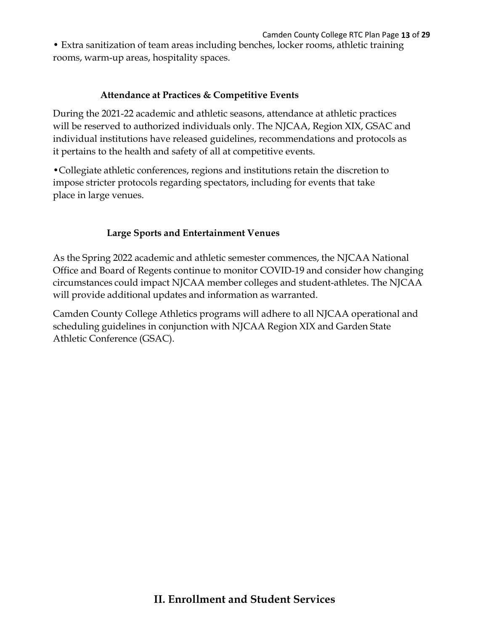• Extra sanitization of team areas including benches, locker rooms, athletic training rooms, warm-up areas, hospitality spaces.

# **Attendance at Practices & Competitive Events**

During the 2021-22 academic and athletic seasons, attendance at athletic practices will be reserved to authorized individuals only. The NJCAA, Region XIX, GSAC and individual institutions have released guidelines, recommendations and protocols as it pertains to the health and safety of all at competitive events.

•Collegiate athletic conferences, regions and institutions retain the discretion to impose stricter protocols regarding spectators, including for events that take place in large venues.

# **Large Sports and Entertainment Venues**

As the Spring 2022 academic and athletic semester commences, the NJCAA National Office and Board of Regents continue to monitor COVID-19 and consider how changing circumstances could impact NJCAA member colleges and student-athletes. The NJCAA will provide additional updates and information as warranted.

Camden County College Athletics programs will adhere to all NJCAA operational and scheduling guidelines in conjunction with NJCAA Region XIX and Garden State Athletic Conference (GSAC).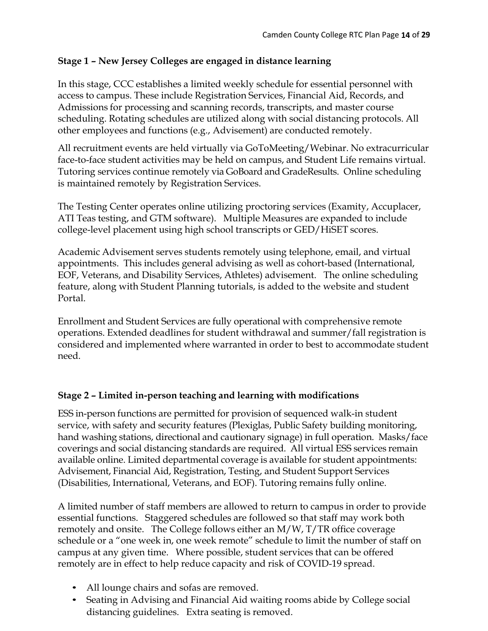# **Stage 1 – New Jersey Colleges are engaged in distance learning**

In this stage, CCC establishes a limited weekly schedule for essential personnel with access to campus. These include Registration Services, Financial Aid, Records, and Admissions for processing and scanning records, transcripts, and master course scheduling. Rotating schedules are utilized along with social distancing protocols. All other employees and functions (e.g., Advisement) are conducted remotely.

All recruitment events are held virtually via GoToMeeting/Webinar. No extracurricular face-to-face student activities may be held on campus, and Student Life remains virtual. Tutoring services continue remotely via GoBoard and GradeResults. Online scheduling is maintained remotely by Registration Services.

The Testing Center operates online utilizing proctoring services (Examity, Accuplacer, ATI Teas testing, and GTM software). Multiple Measures are expanded to include college-level placement using high school transcripts or GED/HiSET scores.

Academic Advisement serves students remotely using telephone, email, and virtual appointments. This includes general advising as well as cohort-based (International, EOF, Veterans, and Disability Services, Athletes) advisement. The online scheduling feature, along with Student Planning tutorials, is added to the website and student Portal.

Enrollment and Student Services are fully operational with comprehensive remote operations. Extended deadlines for student withdrawal and summer/fall registration is considered and implemented where warranted in order to best to accommodate student need.

### **Stage 2 – Limited in-person teaching and learning with modifications**

ESS in-person functions are permitted for provision of sequenced walk-in student service, with safety and security features (Plexiglas, Public Safety building monitoring, hand washing stations, directional and cautionary signage) in full operation. Masks/face coverings and social distancing standards are required. All virtual ESS services remain available online. Limited departmental coverage is available for student appointments: Advisement, Financial Aid, Registration, Testing, and Student Support Services (Disabilities, International, Veterans, and EOF). Tutoring remains fully online.

A limited number of staff members are allowed to return to campus in order to provide essential functions. Staggered schedules are followed so that staff may work both remotely and onsite. The College follows either an M/W, T/TR office coverage schedule or a "one week in, one week remote" schedule to limit the number of staff on campus at any given time. Where possible, student services that can be offered remotely are in effect to help reduce capacity and risk of COVID-19 spread.

- All lounge chairs and sofas are removed.
- Seating in Advising and Financial Aid waiting rooms abide by College social distancing guidelines. Extra seating is removed.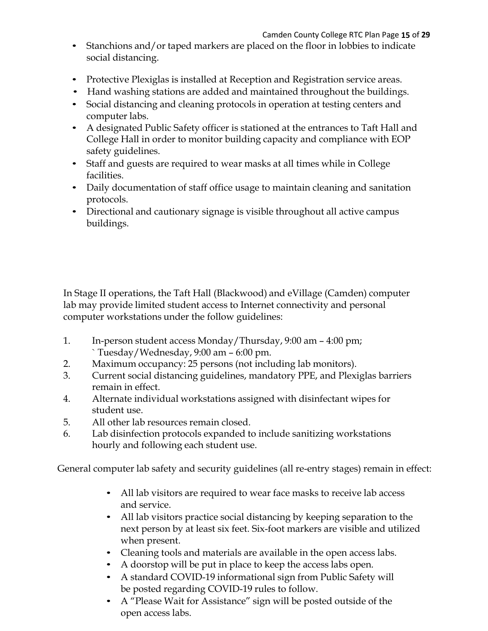Camden County College RTC Plan Page **15** of **29**

- Stanchions and/or taped markers are placed on the floor in lobbies to indicate social distancing.
- Protective Plexiglas is installed at Reception and Registration service areas.
- Hand washing stations are added and maintained throughout the buildings.
- Social distancing and cleaning protocols in operation at testing centers and computer labs.
- A designated Public Safety officer is stationed at the entrances to Taft Hall and College Hall in order to monitor building capacity and compliance with EOP safety guidelines.
- Staff and guests are required to wear masks at all times while in College facilities.
- Daily documentation of staff office usage to maintain cleaning and sanitation protocols.
- Directional and cautionary signage is visible throughout all active campus buildings.

In Stage II operations, the Taft Hall (Blackwood) and eVillage (Camden) computer lab may provide limited student access to Internet connectivity and personal computer workstations under the follow guidelines:

- 1. In-person student access Monday/Thursday, 9:00 am 4:00 pm; ` Tuesday/Wednesday, 9:00 am – 6:00 pm.
- 2. Maximum occupancy: 25 persons (not including lab monitors).
- 3. Current social distancing guidelines, mandatory PPE, and Plexiglas barriers remain in effect.
- 4. Alternate individual workstations assigned with disinfectant wipes for student use.
- 5. All other lab resources remain closed.
- 6. Lab disinfection protocols expanded to include sanitizing workstations hourly and following each student use.

General computer lab safety and security guidelines (all re-entry stages) remain in effect:

- All lab visitors are required to wear face masks to receive lab access and service.
- All lab visitors practice social distancing by keeping separation to the next person by at least six feet. Six-foot markers are visible and utilized when present.
- Cleaning tools and materials are available in the open access labs.
- A doorstop will be put in place to keep the access labs open.
- A standard COVID-19 informational sign from Public Safety will be posted regarding COVID-19 rules to follow.
- A "Please Wait for Assistance" sign will be posted outside of the open access labs.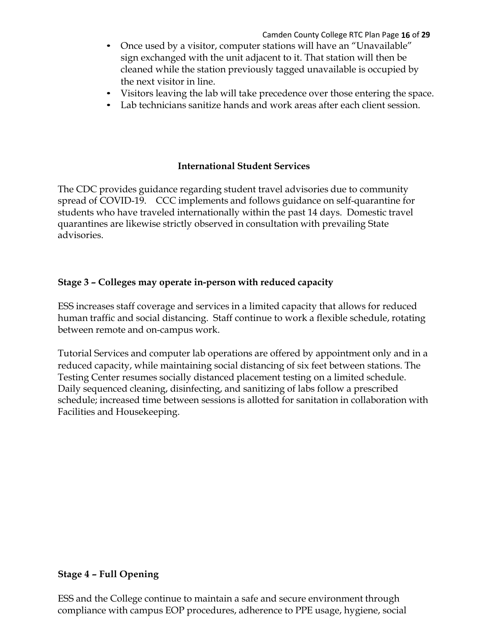- Once used by a visitor, computer stations will have an "Unavailable" sign exchanged with the unit adjacent to it. That station will then be cleaned while the station previously tagged unavailable is occupied by the next visitor in line.
- Visitors leaving the lab will take precedence over those entering the space.
- Lab technicians sanitize hands and work areas after each client session.

### **International Student Services**

The CDC provides guidance regarding student travel advisories due to community spread of COVID-19. CCC implements and follows guidance on self-quarantine for students who have traveled internationally within the past 14 days. Domestic travel quarantines are likewise strictly observed in consultation with prevailing State advisories.

### **Stage 3 – Colleges may operate in-person with reduced capacity**

ESS increases staff coverage and services in a limited capacity that allows for reduced human traffic and social distancing. Staff continue to work a flexible schedule, rotating between remote and on-campus work.

Tutorial Services and computer lab operations are offered by appointment only and in a reduced capacity, while maintaining social distancing of six feet between stations. The Testing Center resumes socially distanced placement testing on a limited schedule. Daily sequenced cleaning, disinfecting, and sanitizing of labs follow a prescribed schedule; increased time between sessions is allotted for sanitation in collaboration with Facilities and Housekeeping.

### **Stage 4 – Full Opening**

ESS and the College continue to maintain a safe and secure environment through compliance with campus EOP procedures, adherence to PPE usage, hygiene, social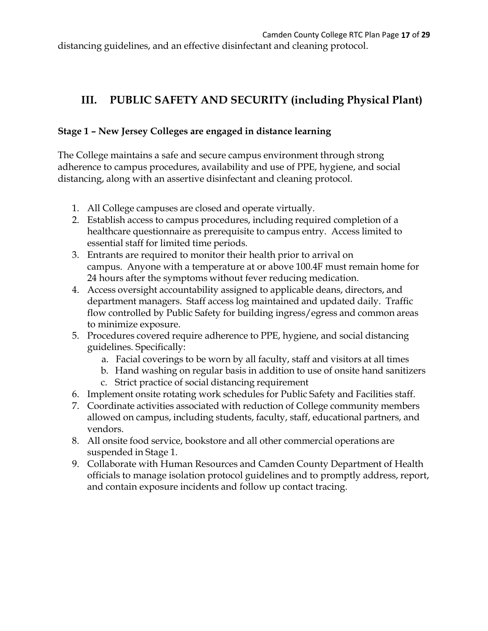# **III. PUBLIC SAFETY AND SECURITY (including Physical Plant)**

# **Stage 1 – New Jersey Colleges are engaged in distance learning**

The College maintains a safe and secure campus environment through strong adherence to campus procedures, availability and use of PPE, hygiene, and social distancing, along with an assertive disinfectant and cleaning protocol.

- 1. All College campuses are closed and operate virtually.
- 2. Establish access to campus procedures, including required completion of a healthcare questionnaire as prerequisite to campus entry. Access limited to essential staff for limited time periods.
- 3. Entrants are required to monitor their health prior to arrival on campus. Anyone with a temperature at or above 100.4F must remain home for 24 hours after the symptoms without fever reducing medication.
- 4. Access oversight accountability assigned to applicable deans, directors, and department managers. Staff access log maintained and updated daily. Traffic flow controlled by Public Safety for building ingress/egress and common areas to minimize exposure.
- 5. Procedures covered require adherence to PPE, hygiene, and social distancing guidelines. Specifically:
	- a. Facial coverings to be worn by all faculty, staff and visitors at all times
	- b. Hand washing on regular basis in addition to use of onsite hand sanitizers
	- c. Strict practice of social distancing requirement
- 6. Implement onsite rotating work schedules for Public Safety and Facilities staff.
- 7. Coordinate activities associated with reduction of College community members allowed on campus, including students, faculty, staff, educational partners, and vendors.
- 8. All onsite food service, bookstore and all other commercial operations are suspended in Stage 1.
- 9. Collaborate with Human Resources and Camden County Department of Health officials to manage isolation protocol guidelines and to promptly address, report, and contain exposure incidents and follow up contact tracing.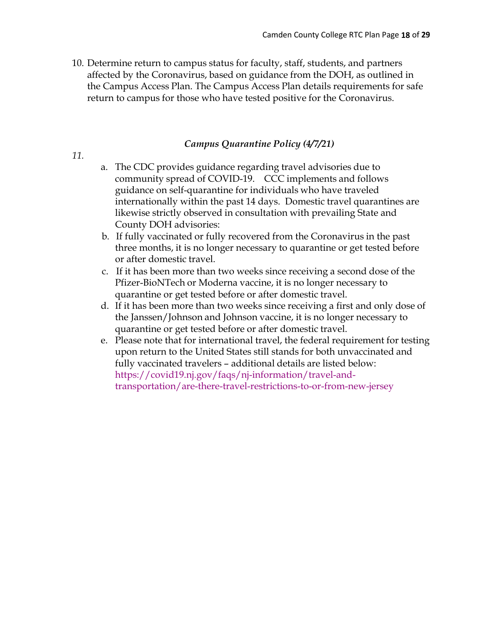10. Determine return to campus status for faculty, staff, students, and partners affected by the Coronavirus, based on guidance from the DOH, as outlined in the Campus Access Plan. The Campus Access Plan details requirements for safe return to campus for those who have tested positive for the Coronavirus.

### *Campus Quarantine Policy (4/7/21)*

- *11.*
- a. The CDC provides guidance regarding travel advisories due to community spread of COVID-19. CCC implements and follows guidance on self-quarantine for individuals who have traveled internationally within the past 14 days. Domestic travel quarantines are likewise strictly observed in consultation with prevailing State and County DOH advisories:
- b. If fully vaccinated or fully recovered from the Coronavirus in the past three months, it is no longer necessary to quarantine or get tested before or after domestic travel.
- c. If it has been more than two weeks since receiving a second dose of the Pfizer-BioNTech or Moderna vaccine, it is no longer necessary to quarantine or get tested before or after domestic travel.
- d. If it has been more than two weeks since receiving a first and only dose of the Janssen/Johnson and Johnson vaccine, it is no longer necessary to quarantine or get tested before or after domestic travel.
- e. Please note that for international travel, the federal requirement for testing upon return to the United States still stands for both unvaccinated and fully vaccinated travelers – additional details are listed below: https://covid19.nj.gov/faqs/nj-information/travel-andtransportation/are-there-travel-restrictions-to-or-from-new-jersey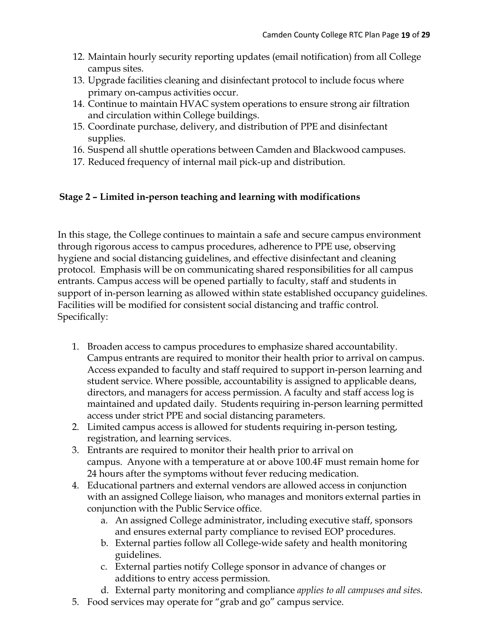- 12. Maintain hourly security reporting updates (email notification) from all College campus sites.
- 13. Upgrade facilities cleaning and disinfectant protocol to include focus where primary on-campus activities occur.
- 14. Continue to maintain HVAC system operations to ensure strong air filtration and circulation within College buildings.
- 15. Coordinate purchase, delivery, and distribution of PPE and disinfectant supplies.
- 16. Suspend all shuttle operations between Camden and Blackwood campuses.
- 17. Reduced frequency of internal mail pick-up and distribution.

### **Stage 2 – Limited in-person teaching and learning with modifications**

In this stage, the College continues to maintain a safe and secure campus environment through rigorous access to campus procedures, adherence to PPE use, observing hygiene and social distancing guidelines, and effective disinfectant and cleaning protocol. Emphasis will be on communicating shared responsibilities for all campus entrants. Campus access will be opened partially to faculty, staff and students in support of in-person learning as allowed within state established occupancy guidelines. Facilities will be modified for consistent social distancing and traffic control. Specifically:

- 1. Broaden access to campus procedures to emphasize shared accountability. Campus entrants are required to monitor their health prior to arrival on campus. Access expanded to faculty and staff required to support in-person learning and student service. Where possible, accountability is assigned to applicable deans, directors, and managers for access permission. A faculty and staff access log is maintained and updated daily. Students requiring in-person learning permitted access under strict PPE and social distancing parameters.
- 2. Limited campus access is allowed for students requiring in-person testing, registration, and learning services.
- 3. Entrants are required to monitor their health prior to arrival on campus. Anyone with a temperature at or above 100.4F must remain home for 24 hours after the symptoms without fever reducing medication.
- 4. Educational partners and external vendors are allowed access in conjunction with an assigned College liaison, who manages and monitors external parties in conjunction with the Public Service office.
	- a. An assigned College administrator, including executive staff, sponsors and ensures external party compliance to revised EOP procedures.
	- b. External parties follow all College-wide safety and health monitoring guidelines.
	- c. External parties notify College sponsor in advance of changes or additions to entry access permission.
	- d. External party monitoring and compliance *applies to all campuses and sites.*
- 5. Food services may operate for "grab and go" campus service.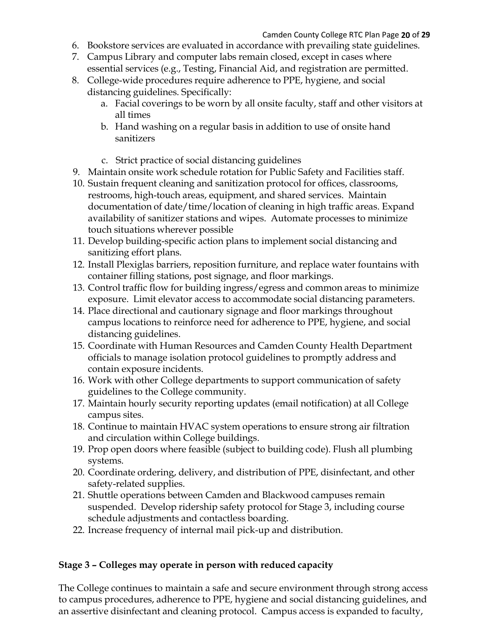- 6. Bookstore services are evaluated in accordance with prevailing state guidelines.
- 7. Campus Library and computer labs remain closed, except in cases where essential services (e.g., Testing, Financial Aid, and registration are permitted.
- 8. College-wide procedures require adherence to PPE, hygiene, and social distancing guidelines. Specifically:
	- a. Facial coverings to be worn by all onsite faculty, staff and other visitors at all times
	- b. Hand washing on a regular basis in addition to use of onsite hand sanitizers
	- c. Strict practice of social distancing guidelines
- 9. Maintain onsite work schedule rotation for Public Safety and Facilities staff.
- 10. Sustain frequent cleaning and sanitization protocol for offices, classrooms, restrooms, high-touch areas, equipment, and shared services. Maintain documentation of date/time/location of cleaning in high traffic areas. Expand availability of sanitizer stations and wipes. Automate processes to minimize touch situations wherever possible
- 11. Develop building-specific action plans to implement social distancing and sanitizing effort plans.
- 12. Install Plexiglas barriers, reposition furniture, and replace water fountains with container filling stations, post signage, and floor markings.
- 13. Control traffic flow for building ingress/egress and common areas to minimize exposure. Limit elevator access to accommodate social distancing parameters.
- 14. Place directional and cautionary signage and floor markings throughout campus locations to reinforce need for adherence to PPE, hygiene, and social distancing guidelines.
- 15. Coordinate with Human Resources and Camden County Health Department officials to manage isolation protocol guidelines to promptly address and contain exposure incidents.
- 16. Work with other College departments to support communication of safety guidelines to the College community.
- 17. Maintain hourly security reporting updates (email notification) at all College campus sites.
- 18. Continue to maintain HVAC system operations to ensure strong air filtration and circulation within College buildings.
- 19. Prop open doors where feasible (subject to building code). Flush all plumbing systems.
- 20. Coordinate ordering, delivery, and distribution of PPE, disinfectant, and other safety-related supplies.
- 21. Shuttle operations between Camden and Blackwood campuses remain suspended. Develop ridership safety protocol for Stage 3, including course schedule adjustments and contactless boarding.
- 22. Increase frequency of internal mail pick-up and distribution.

### **Stage 3 – Colleges may operate in person with reduced capacity**

The College continues to maintain a safe and secure environment through strong access to campus procedures, adherence to PPE, hygiene and social distancing guidelines, and an assertive disinfectant and cleaning protocol. Campus access is expanded to faculty,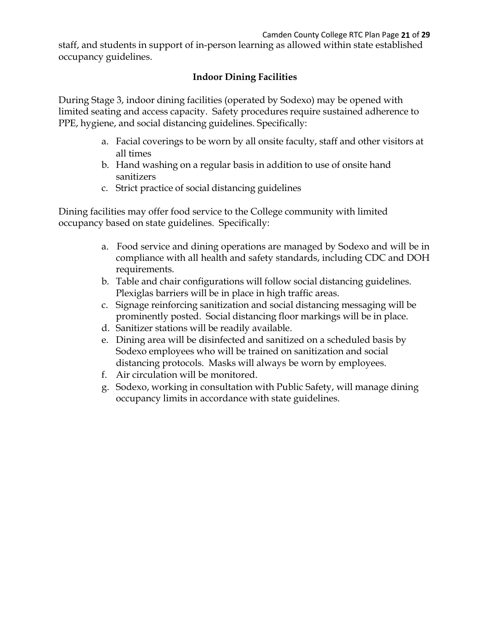staff, and students in support of in-person learning as allowed within state established occupancy guidelines.

# **Indoor Dining Facilities**

During Stage 3, indoor dining facilities (operated by Sodexo) may be opened with limited seating and access capacity. Safety procedures require sustained adherence to PPE, hygiene, and social distancing guidelines. Specifically:

- a. Facial coverings to be worn by all onsite faculty, staff and other visitors at all times
- b. Hand washing on a regular basis in addition to use of onsite hand sanitizers
- c. Strict practice of social distancing guidelines

Dining facilities may offer food service to the College community with limited occupancy based on state guidelines. Specifically:

- a. Food service and dining operations are managed by Sodexo and will be in compliance with all health and safety standards, including CDC and DOH requirements.
- b. Table and chair configurations will follow social distancing guidelines. Plexiglas barriers will be in place in high traffic areas.
- c. Signage reinforcing sanitization and social distancing messaging will be prominently posted. Social distancing floor markings will be in place.
- d. Sanitizer stations will be readily available.
- e. Dining area will be disinfected and sanitized on a scheduled basis by Sodexo employees who will be trained on sanitization and social distancing protocols. Masks will always be worn by employees.
- f. Air circulation will be monitored.
- g. Sodexo, working in consultation with Public Safety, will manage dining occupancy limits in accordance with state guidelines.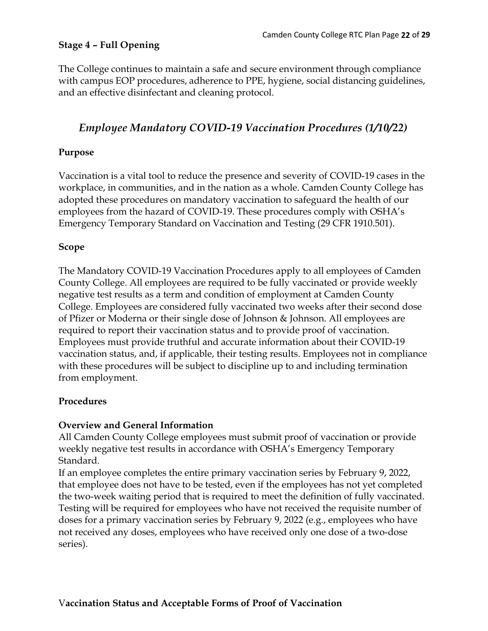### **Stage 4 – Full Opening**

The College continues to maintain a safe and secure environment through compliance with campus EOP procedures, adherence to PPE, hygiene, social distancing guidelines, and an effective disinfectant and cleaning protocol.

# *Employee Mandatory COVID-19 Vaccination Procedures (1/10/22)*

### **Purpose**

Vaccination is a vital tool to reduce the presence and severity of COVID-19 cases in the workplace, in communities, and in the nation as a whole. Camden County College has adopted these procedures on mandatory vaccination to safeguard the health of our employees from the hazard of COVID-19. These procedures comply with OSHA's Emergency Temporary Standard on Vaccination and Testing (29 CFR 1910.501).

### **Scope**

The Mandatory COVID-19 Vaccination Procedures apply to all employees of Camden County College. All employees are required to be fully vaccinated or provide weekly negative test results as a term and condition of employment at Camden County College. Employees are considered fully vaccinated two weeks after their second dose of Pfizer or Moderna or their single dose of Johnson & Johnson. All employees are required to report their vaccination status and to provide proof of vaccination. Employees must provide truthful and accurate information about their COVID-19 vaccination status, and, if applicable, their testing results. Employees not in compliance with these procedures will be subject to discipline up to and including termination from employment.

### **Procedures**

### **Overview and General Information**

All Camden County College employees must submit proof of vaccination or provide weekly negative test results in accordance with OSHA's Emergency Temporary Standard.

If an employee completes the entire primary vaccination series by February 9, 2022, that employee does not have to be tested, even if the employees has not yet completed the two-week waiting period that is required to meet the definition of fully vaccinated. Testing will be required for employees who have not received the requisite number of doses for a primary vaccination series by February 9, 2022 (e.g., employees who have not received any doses, employees who have received only one dose of a two-dose series).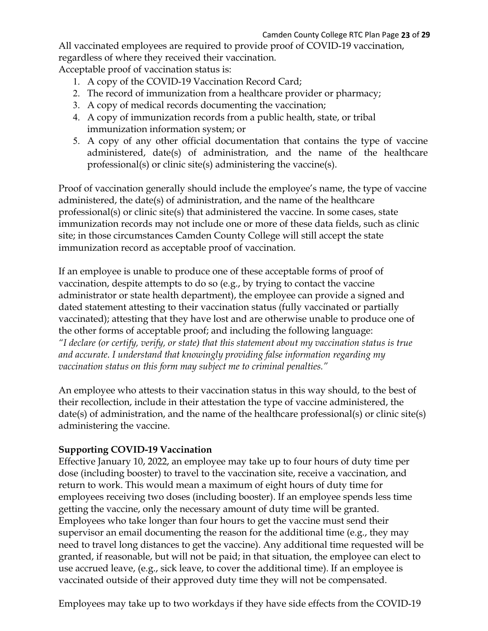All vaccinated employees are required to provide proof of COVID-19 vaccination, regardless of where they received their vaccination.

Acceptable proof of vaccination status is:

- 1. A copy of the COVID-19 Vaccination Record Card;
- 2. The record of immunization from a healthcare provider or pharmacy;
- 3. A copy of medical records documenting the vaccination;
- 4. A copy of immunization records from a public health, state, or tribal immunization information system; or
- 5. A copy of any other official documentation that contains the type of vaccine administered, date(s) of administration, and the name of the healthcare professional(s) or clinic site(s) administering the vaccine(s).

Proof of vaccination generally should include the employee's name, the type of vaccine administered, the date(s) of administration, and the name of the healthcare professional(s) or clinic site(s) that administered the vaccine. In some cases, state immunization records may not include one or more of these data fields, such as clinic site; in those circumstances Camden County College will still accept the state immunization record as acceptable proof of vaccination.

If an employee is unable to produce one of these acceptable forms of proof of vaccination, despite attempts to do so (e.g., by trying to contact the vaccine administrator or state health department), the employee can provide a signed and dated statement attesting to their vaccination status (fully vaccinated or partially vaccinated); attesting that they have lost and are otherwise unable to produce one of the other forms of acceptable proof; and including the following language: *"I declare (or certify, verify, or state) that this statement about my vaccination status is true and accurate. I understand that knowingly providing false information regarding my vaccination status on this form may subject me to criminal penalties."*

An employee who attests to their vaccination status in this way should, to the best of their recollection, include in their attestation the type of vaccine administered, the date(s) of administration, and the name of the healthcare professional(s) or clinic site(s) administering the vaccine.

### **Supporting COVID-19 Vaccination**

Effective January 10, 2022, an employee may take up to four hours of duty time per dose (including booster) to travel to the vaccination site, receive a vaccination, and return to work. This would mean a maximum of eight hours of duty time for employees receiving two doses (including booster). If an employee spends less time getting the vaccine, only the necessary amount of duty time will be granted. Employees who take longer than four hours to get the vaccine must send their supervisor an email documenting the reason for the additional time (e.g., they may need to travel long distances to get the vaccine). Any additional time requested will be granted, if reasonable, but will not be paid; in that situation, the employee can elect to use accrued leave, (e.g., sick leave, to cover the additional time). If an employee is vaccinated outside of their approved duty time they will not be compensated.

Employees may take up to two workdays if they have side effects from the COVID-19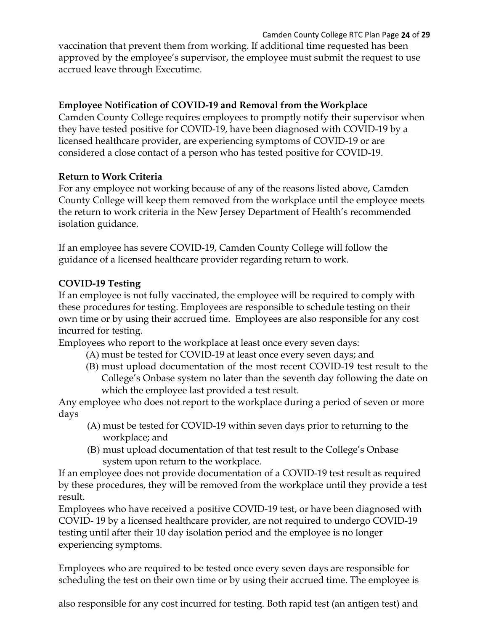Camden County College RTC Plan Page **24** of **29**

vaccination that prevent them from working. If additional time requested has been approved by the employee's supervisor, the employee must submit the request to use accrued leave through Executime.

# **Employee Notification of COVID-19 and Removal from the Workplace**

Camden County College requires employees to promptly notify their supervisor when they have tested positive for COVID-19, have been diagnosed with COVID-19 by a licensed healthcare provider, are experiencing symptoms of COVID-19 or are considered a close contact of a person who has tested positive for COVID-19.

### **Return to Work Criteria**

For any employee not working because of any of the reasons listed above, Camden County College will keep them removed from the workplace until the employee meets the return to work criteria in the New Jersey Department of Health's recommended isolation guidance.

If an employee has severe COVID-19, Camden County College will follow the guidance of a licensed healthcare provider regarding return to work.

# **COVID-19 Testing**

If an employee is not fully vaccinated, the employee will be required to comply with these procedures for testing. Employees are responsible to schedule testing on their own time or by using their accrued time. Employees are also responsible for any cost incurred for testing.

Employees who report to the workplace at least once every seven days:

- (A) must be tested for COVID-19 at least once every seven days; and
- (B) must upload documentation of the most recent COVID-19 test result to the College's Onbase system no later than the seventh day following the date on which the employee last provided a test result.

Any employee who does not report to the workplace during a period of seven or more days

- (A) must be tested for COVID-19 within seven days prior to returning to the workplace; and
- (B) must upload documentation of that test result to the College's Onbase system upon return to the workplace.

If an employee does not provide documentation of a COVID-19 test result as required by these procedures, they will be removed from the workplace until they provide a test result.

Employees who have received a positive COVID-19 test, or have been diagnosed with COVID- 19 by a licensed healthcare provider, are not required to undergo COVID-19 testing until after their 10 day isolation period and the employee is no longer experiencing symptoms.

Employees who are required to be tested once every seven days are responsible for scheduling the test on their own time or by using their accrued time. The employee is

also responsible for any cost incurred for testing. Both rapid test (an antigen test) and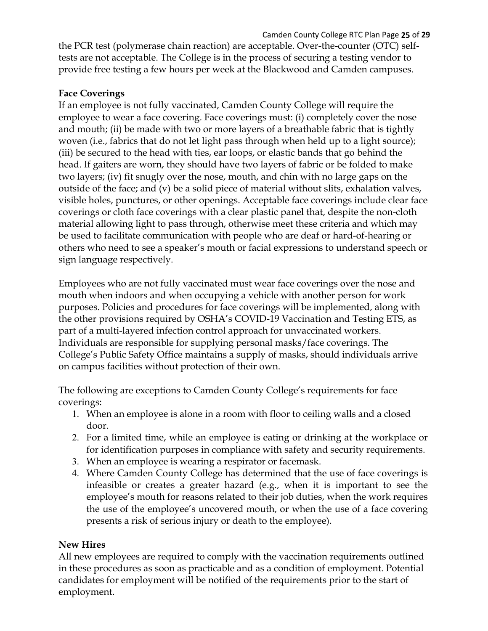Camden County College RTC Plan Page **25** of **29**

the PCR test (polymerase chain reaction) are acceptable. Over-the-counter (OTC) selftests are not acceptable. The College is in the process of securing a testing vendor to provide free testing a few hours per week at the Blackwood and Camden campuses.

# **Face Coverings**

If an employee is not fully vaccinated, Camden County College will require the employee to wear a face covering. Face coverings must: (i) completely cover the nose and mouth; (ii) be made with two or more layers of a breathable fabric that is tightly woven (i.e., fabrics that do not let light pass through when held up to a light source); (iii) be secured to the head with ties, ear loops, or elastic bands that go behind the head. If gaiters are worn, they should have two layers of fabric or be folded to make two layers; (iv) fit snugly over the nose, mouth, and chin with no large gaps on the outside of the face; and (v) be a solid piece of material without slits, exhalation valves, visible holes, punctures, or other openings. Acceptable face coverings include clear face coverings or cloth face coverings with a clear plastic panel that, despite the non-cloth material allowing light to pass through, otherwise meet these criteria and which may be used to facilitate communication with people who are deaf or hard-of-hearing or others who need to see a speaker's mouth or facial expressions to understand speech or sign language respectively.

Employees who are not fully vaccinated must wear face coverings over the nose and mouth when indoors and when occupying a vehicle with another person for work purposes. Policies and procedures for face coverings will be implemented, along with the other provisions required by OSHA's COVID-19 Vaccination and Testing ETS, as part of a multi-layered infection control approach for unvaccinated workers. Individuals are responsible for supplying personal masks/face coverings. The College's Public Safety Office maintains a supply of masks, should individuals arrive on campus facilities without protection of their own.

The following are exceptions to Camden County College's requirements for face coverings:

- 1. When an employee is alone in a room with floor to ceiling walls and a closed door.
- 2. For a limited time, while an employee is eating or drinking at the workplace or for identification purposes in compliance with safety and security requirements.
- 3. When an employee is wearing a respirator or facemask.
- 4. Where Camden County College has determined that the use of face coverings is infeasible or creates a greater hazard (e.g., when it is important to see the employee's mouth for reasons related to their job duties, when the work requires the use of the employee's uncovered mouth, or when the use of a face covering presents a risk of serious injury or death to the employee).

### **New Hires**

All new employees are required to comply with the vaccination requirements outlined in these procedures as soon as practicable and as a condition of employment. Potential candidates for employment will be notified of the requirements prior to the start of employment.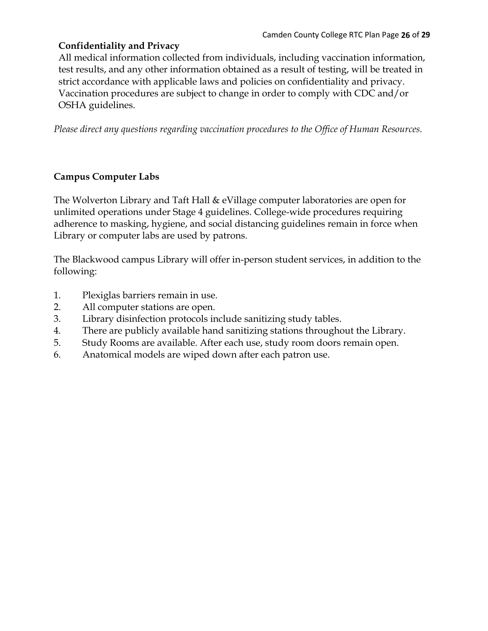# **Confidentiality and Privacy**

All medical information collected from individuals, including vaccination information, test results, and any other information obtained as a result of testing, will be treated in strict accordance with applicable laws and policies on confidentiality and privacy. Vaccination procedures are subject to change in order to comply with CDC and/or OSHA guidelines.

*Please direct any questions regarding vaccination procedures to the Office of Human Resources.*

# **Campus Computer Labs**

The Wolverton Library and Taft Hall & eVillage computer laboratories are open for unlimited operations under Stage 4 guidelines. College-wide procedures requiring adherence to masking, hygiene, and social distancing guidelines remain in force when Library or computer labs are used by patrons.

The Blackwood campus Library will offer in-person student services, in addition to the following:

- 1. Plexiglas barriers remain in use.
- 2. All computer stations are open.
- 3. Library disinfection protocols include sanitizing study tables.
- 4. There are publicly available hand sanitizing stations throughout the Library.
- 5. Study Rooms are available. After each use, study room doors remain open.
- 6. Anatomical models are wiped down after each patron use.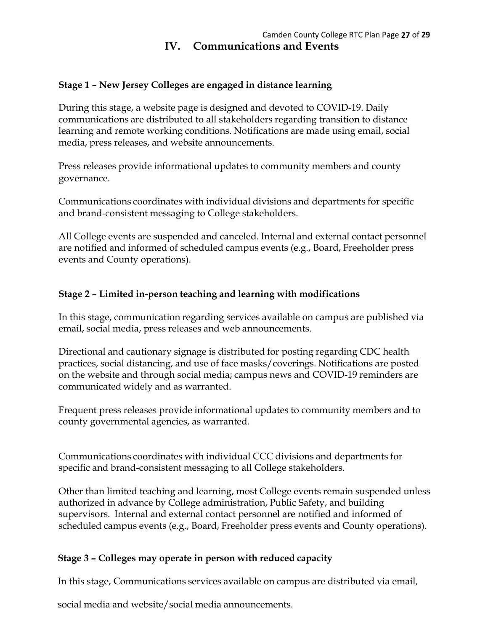### **Stage 1 – New Jersey Colleges are engaged in distance learning**

During this stage, a website page is designed and devoted to COVID-19. Daily communications are distributed to all stakeholders regarding transition to distance learning and remote working conditions. Notifications are made using email, social media, press releases, and website announcements.

Press releases provide informational updates to community members and county governance.

Communications coordinates with individual divisions and departments for specific and brand-consistent messaging to College stakeholders.

All College events are suspended and canceled. Internal and external contact personnel are notified and informed of scheduled campus events (e.g., Board, Freeholder press events and County operations).

### **Stage 2 – Limited in-person teaching and learning with modifications**

In this stage, communication regarding services available on campus are published via email, social media, press releases and web announcements.

Directional and cautionary signage is distributed for posting regarding CDC health practices, social distancing, and use of face masks/coverings. Notifications are posted on the website and through social media; campus news and COVID-19 reminders are communicated widely and as warranted.

Frequent press releases provide informational updates to community members and to county governmental agencies, as warranted.

Communications coordinates with individual CCC divisions and departments for specific and brand-consistent messaging to all College stakeholders.

Other than limited teaching and learning, most College events remain suspended unless authorized in advance by College administration, Public Safety, and building supervisors. Internal and external contact personnel are notified and informed of scheduled campus events (e.g., Board, Freeholder press events and County operations).

### **Stage 3 – Colleges may operate in person with reduced capacity**

In this stage, Communications services available on campus are distributed via email,

social media and website/social media announcements.